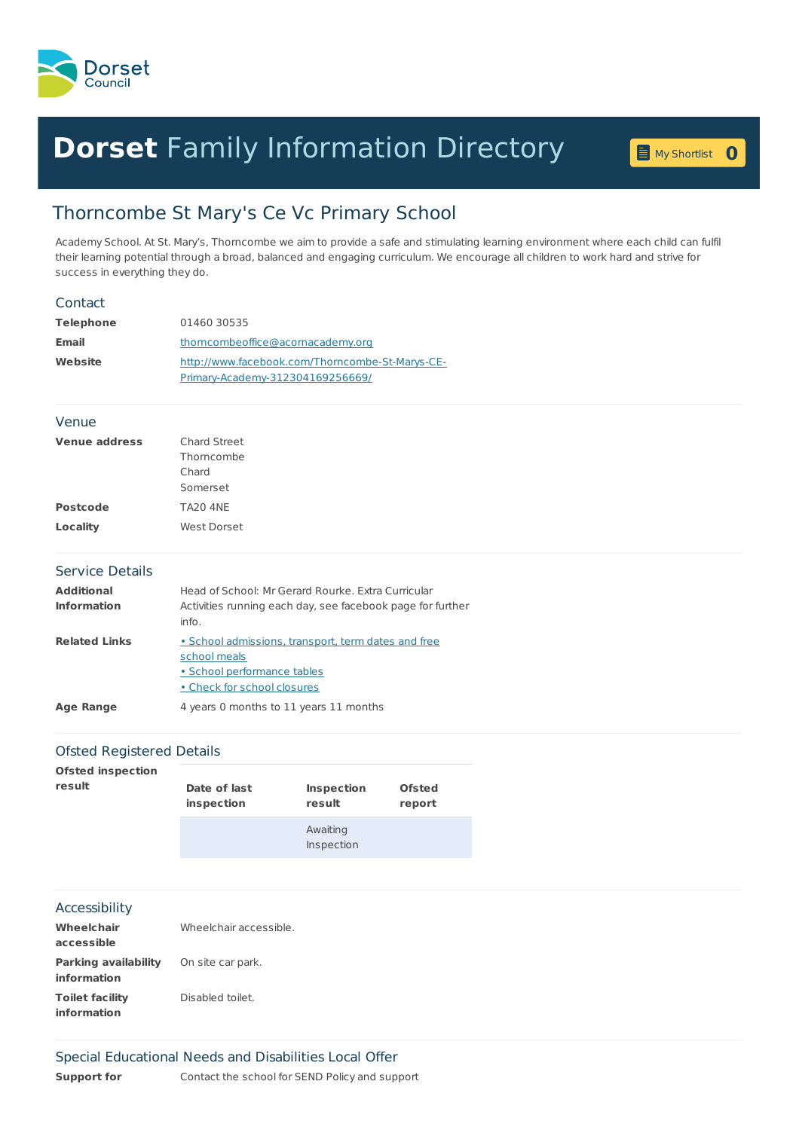

## **Dorset** Family [Information](home.page) Directory **<sup>0</sup>**

My [Shortlist](shortlist.page) 0

## Thorncombe St Mary's Ce Vc Primary School

Academy School. At St. Mary's, Thorncombe we aim to provide a safe and stimulating learning environment where each child can fulfil their learning potential through a broad, balanced and engaging curriculum. We encourage all children to work hard and strive for success in everything they do.

| Contact                                 |                                                                                                                                   |
|-----------------------------------------|-----------------------------------------------------------------------------------------------------------------------------------|
| <b>Telephone</b>                        | 01460 30535                                                                                                                       |
| <b>Email</b>                            | thorncombeoffice@acornacademy.org                                                                                                 |
| Website                                 | http://www.facebook.com/Thorncombe-St-Marys-CE-<br>Primary-Academy-312304169256669/                                               |
| Venue                                   |                                                                                                                                   |
| <b>Venue address</b>                    | Chard Street<br>Thomcombe<br>Chard<br>Somerset                                                                                    |
| <b>Postcode</b>                         | <b>TA20 4NE</b>                                                                                                                   |
| Locality                                | West Dorset                                                                                                                       |
| <b>Service Details</b>                  |                                                                                                                                   |
| <b>Additional</b><br><b>Information</b> | Head of School: Mr Gerard Rourke, Extra Curricular<br>Activities running each day, see facebook page for further<br>info.         |
| <b>Related Links</b>                    | • School admissions, transport, term dates and free<br>school meals<br>· School performance tables<br>. Check for school closures |
| <b>Age Range</b>                        | 4 years 0 months to 11 years 11 months                                                                                            |
|                                         |                                                                                                                                   |

## Ofsted Registered Details

| <b>Ofsted inspection</b> | Date of last | <b>Inspection</b>      | <b>Ofsted</b> |
|--------------------------|--------------|------------------------|---------------|
| result                   | inspection   | result                 | report        |
|                          |              | Awaiting<br>Inspection |               |

## Accessibility

| Wheelchair<br>accessible            | Wheelchair accessible. |
|-------------------------------------|------------------------|
| Parking availability<br>information | On site car park.      |
| Toilet facility<br>information      | Disabled toilet.       |